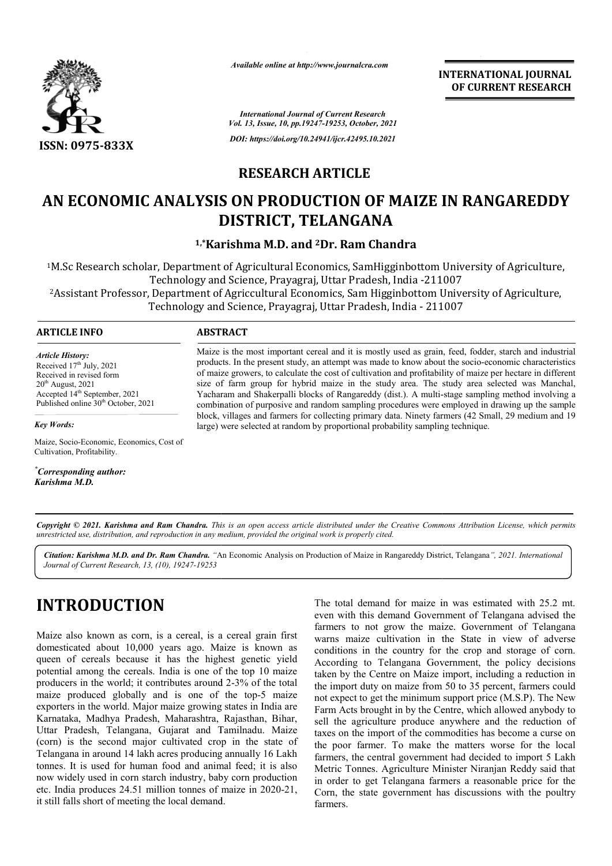

*Available online at http://www.journalcra.com*

*International Journal of Current Research Vol. 13, Issue, 10, pp.19247-19253, October, 2021 DOI: https://doi.org/10.24941/ijcr.42495.10.2021*

**INTERNATIONAL JOURNAL OF CURRENT RESEARCH**

**RESEARCH ARTICLE** 

# AN ECONOMIC ANALYSIS ON PRODUCTION OF MAIZE IN RANGAREDDY **DISTRICT, TELANGANA**

<sup>1,\*</sup>Karishma M.D. and <sup>2</sup>Dr. Ram Chandra

<sup>1</sup>M.Sc Research scholar, Department of Agricultural Economics, SamHigginbottom University of Agriculture,<br>Technology and Science, Prayagraj, Uttar Pradesh, India -211007 Technology and Science, Prayagraj, Uttar Pradesh, India Technology and Science, Prayagraj, Uttar Pradesh, India -211007<br>Assistant Professor, Department of Agriccultural Economics, Sam Higginbottom University of Agriculture, <sup>2</sup><br>Technology and Science, Prayagraj, Uttar Pradesh, Technology and Science, Prayagraj, Uttar Pradesh, India

### **ARTICLE INFO ABSTRACT**

*Article History: Article History:* Received  $17<sup>th</sup>$  July, 2021 Received in revised form<br>20<sup>th</sup> August, 2021  $20<sup>th</sup>$  August,  $2021$ Accepted 14<sup>th</sup> September, 2021 Published online 30<sup>th</sup> October, 2021

Maize is the most important cereal and it is mostly used as grain, feed, fodder, starch and industrial Maize is the most important cereal and it is mostly used as grain, feed, fodder, starch and industrial products. In the present study, an attempt was made to know about the socio-economic characteristics of maize growers, to calculate the cost of cultivation and profitability of maize per hectare in different size of farm group for hybrid maize in the study area. The study area selected was Manchal, Yacharam and Shakerpalli blocks of Rangareddy (dist.). A multicombination of purposive and random sampling procedures were employed in drawing up the sample block, villages and farmers for collecting primary data. Ninety farmers (42 Small, 29 medium and 19 large) were selected at random by proportional probability sampling technique. of maize growers, to calculate the cost of cultivation and profitability of maize per hectare in different<br>size of farm group for hybrid maize in the study area. The study area selected was Manchal,<br>Yacharam and Shakerpall combination of purposive and random sampling procedures were employed in drawing up the<br>block, villages and farmers for collecting primary data. Ninety farmers (42 Small, 29 medium<br>large) were selected at random by proport

*Key Words:*

Maize, Socio-Economic, Economics, Cost of Cultivation, Profitability.

*\* Corresponding author: Karishma M.D.*

Copyright © 2021. Karishma and Ram Chandra. This is an open access article distributed under the Creative Commons Attribution License, which permits *unrestricted use, distribution, and reproduction in any medium, provided the original work is properly cited.*

*Citation: Karishma M.D. and Dr. Ram Chandra. "*An Economic Analysis on Production of Maize in Rangareddy District, Telangana *", 2021. InternationalJournal of Current Research, 13, (10), 19247-19253*

# **INTRODUCTION**

Maize also known as corn, is a cereal, is a cereal grain first domesticated about 10,000 years ago. Maize is known as queen of cereals because it has the highest genetic yield potential among the cereals. India is one of the top 10 maize producers in the world; it contributes around 2-3% of the total maize produced globally and is one of the top-5 maize exporters in the world. Major maize growing states in India are Karnataka, Madhya Pradesh, Maharashtra, Rajasthan, Bihar, Uttar Pradesh, Telangana, Gujarat and Tamilnadu. Maize (corn) is the second major cultivated crop in the state of Telangana in around 14 lakh acres producing annually 16 Lakh tonnes. It is used for human food and animal feed; it is also now widely used in corn starch industry, baby corn pr production etc. India produces 24.51 million tonnes of maize in 2020-21, it still falls short of meeting the local demand.

The total demand for maize in was estimated with 25.2 mt. even with this demand Government of Telangana advised the farmers to not grow the maize. Government of Telangana warns maize cultivation in the State in view of adverse conditions in the country for the crop and storage of corn. According to Telangana Government, the policy decisions taken by the Centre on Maize import, including a reduction in the import duty on maize from 50 to 35 percent, farmers could not expect to get the minimum support price (M.S.P). The New Farm Acts brought in by the Centre, which allowed anybody to Farm Acts brought in by the Centre, which allowed anybody to sell the agriculture produce anywhere and the reduction of taxes on the import of the commodities has become a curse on the poor farmer. To make the matters worse for the local farmers, the central government had decided to import 5 Lakh Metric Tonnes. Agriculture Minister Niranjan Reddy said that in order to get Telangana farmers a reasonable price for the Corn, the state government has discussions with the poultry farmers. with this demand Government of Telangana advised the<br>rs to not grow the maize. Government of Telangana<br>is maize cultivation in the State in view of adverse<br>tions in the country for the crop and storage of corn.<br>rding to Te **FORTER ATIONAL FORTER ATIONAL FORTER ATIONS CONTROLL CONTROLL CONTROLL CONTROLL CONTROLL CONTROLL CONTROLL CONTROLL CONTROLL CONTROLL CONTROLL CONTROLL CONTROLL CONTROLL CONTROLL CONTROLL CONTROLL CONTROLL CONTROLL CONTR**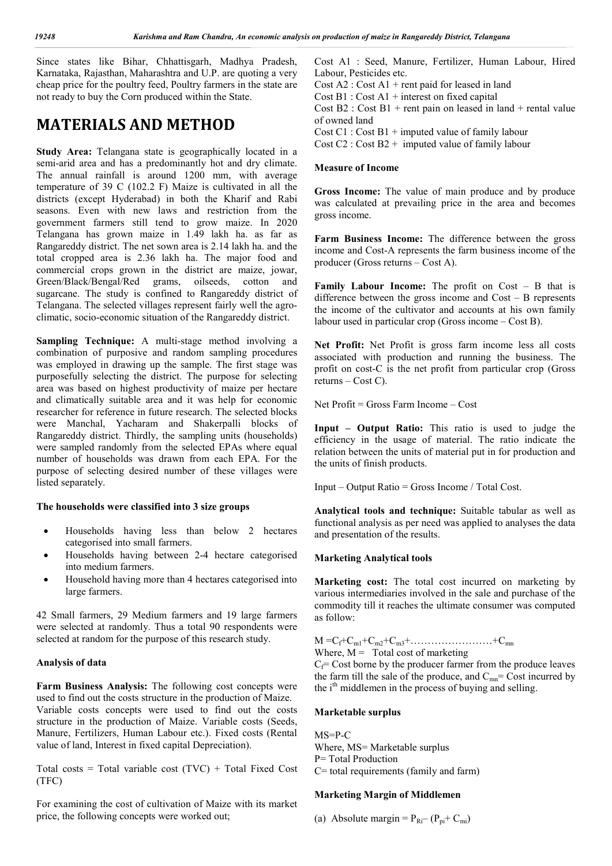Since states like Bihar, Chhattisgarh, Madhya Pradesh, Karnataka, Rajasthan, Maharashtra and U.P. are quoting a very cheap price for the poultry feed, Poultry farmers in the state are not ready to buy the Corn produced within the State.

### **MATERIALS AND METHOD**

**Study Area:** Telangana state is geographically located in a semi-arid area and has a predominantly hot and dry climate. The annual rainfall is around 1200 mm, with average temperature of 39 C (102.2 F) Maize is cultivated in all the districts (except Hyderabad) in both the Kharif and Rabi seasons. Even with new laws and restriction from the government farmers still tend to grow maize. In 2020 Telangana has grown maize in 1.49 lakh ha. as far as Rangareddy district. The net sown area is 2.14 lakh ha. and the total cropped area is 2.36 lakh ha. The major food and commercial crops grown in the district are maize, jowar, Green/Black/Bengal/Red grams, oilseeds, cotton and sugarcane. The study is confined to Rangareddy district of Telangana. The selected villages represent fairly well the agroclimatic, socio-economic situation of the Rangareddy district.

**Sampling Technique:** A multi-stage method involving a combination of purposive and random sampling procedures was employed in drawing up the sample. The first stage was purposefully selecting the district. The purpose for selecting area was based on highest productivity of maize per hectare and climatically suitable area and it was help for economic researcher for reference in future research. The selected blocks were Manchal, Yacharam and Shakerpalli blocks of Rangareddy district. Thirdly, the sampling units (households) were sampled randomly from the selected EPAs where equal number of households was drawn from each EPA. For the purpose of selecting desired number of these villages were listed separately.

#### **The households were classified into 3 size groups**

- Households having less than below 2 hectares categorised into small farmers.
- Households having between 2-4 hectare categorised into medium farmers.
- Household having more than 4 hectares categorised into large farmers.

42 Small farmers, 29 Medium farmers and 19 large farmers were selected at randomly. Thus a total 90 respondents were selected at random for the purpose of this research study.

#### **Analysis of data**

**Farm Business Analysis:** The following cost concepts were used to find out the costs structure in the production of Maize. Variable costs concepts were used to find out the costs structure in the production of Maize. Variable costs (Seeds, Manure, Fertilizers, Human Labour etc.). Fixed costs (Rental value of land, Interest in fixed capital Depreciation).

Total costs = Total variable cost  $(TVC)$  + Total Fixed Cost (TFC)

For examining the cost of cultivation of Maize with its market price, the following concepts were worked out;

Cost A1 : Seed, Manure, Fertilizer, Human Labour, Hired Labour, Pesticides etc.

Cost  $A2:$  Cost  $A1$  + rent paid for leased in land

Cost  $B1: Cost A1 + interest on fixed capital$ 

Cost  $B2 : Cost B1 + rent pain on leased in land + rental value$ of owned land

Cost C1 : Cost  $B1$  + imputed value of family labour

Cost  $C2$ : Cost  $B2 +$  imputed value of family labour

#### **Measure of Income**

**Gross Income:** The value of main produce and by produce was calculated at prevailing price in the area and becomes gross income.

**Farm Business Income:** The difference between the gross income and Cost-A represents the farm business income of the producer (Gross returns – Cost A).

Family Labour Income: The profit on Cost – B that is difference between the gross income and Cost – B represents the income of the cultivator and accounts at his own family labour used in particular crop (Gross income – Cost B).

**Net Profit:** Net Profit is gross farm income less all costs associated with production and running the business. The profit on cost-C is the net profit from particular crop (Gross returns – Cost C).

Net Profit = Gross Farm Income – Cost

**Input – Output Ratio:** This ratio is used to judge the efficiency in the usage of material. The ratio indicate the relation between the units of material put in for production and the units of finish products.

 $Input - Output$  Ratio = Gross Income / Total Cost.

**Analytical tools and technique:** Suitable tabular as well as functional analysis as per need was applied to analyses the data and presentation of the results.

#### **Marketing Analytical tools**

**Marketing cost:** The total cost incurred on marketing by various intermediaries involved in the sale and purchase of the commodity till it reaches the ultimate consumer was computed as follow:

#### $M = C_f + C_{m1} + C_{m2} + C_{m3} + \ldots + C_{mn}$

Where,  $M =$  Total cost of marketing

 $C_f$ = Cost borne by the producer farmer from the produce leaves the farm till the sale of the produce, and  $C_{mn}$ = Cost incurred by the  $i<sup>th</sup>$  middlemen in the process of buying and selling.

#### **Marketable surplus**

MS=P-C Where, MS= Marketable surplus P= Total Production C= total requirements (family and farm)

#### **Marketing Margin of Middlemen**

(a) Absolute margin =  $P_{\text{Ri}}$  –  $(P_{\text{pi}}$ +  $C_{\text{mi}})$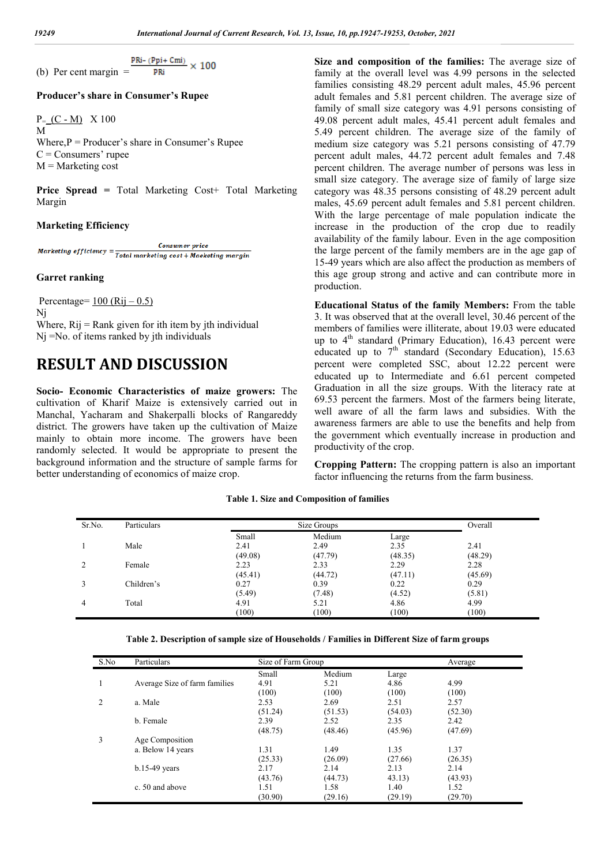$\frac{\text{PRi} - (\text{Ppi} + \text{Cmi})}{\text{PRi}} \times 100$ (b) Per cent margin  $=$ **DRi** 

#### **Producer's share in Consumer's Rupee**

 $P_=(C - M)$  X 100 M Where, $P =$  Producer's share in Consumer's Rupee  $C =$ Consumers' rupee  $M =$ Marketing cost

**Price Spread = Total Marketing Cost+ Total Marketing** Margin

#### **Marketing Efficiency**

**Consumer** price Marketing efficiency = Total marketing cost + Maeketing margin

#### **Garret ranking**

Percentage=  $100 (Rij - 0.5)$ Nj Where,  $Rij = Rank$  given for ith item by jth individual Nj =No. of items ranked by jth individuals

### **RESULT AND DISCUSSION**

**Socio- Economic Characteristics of maize growers:** The cultivation of Kharif Maize is extensively carried out in Manchal, Yacharam and Shakerpalli blocks of Rangareddy district. The growers have taken up the cultivation of Maize mainly to obtain more income. The growers have been randomly selected. It would be appropriate to present the background information and the structure of sample farms for better understanding of economics of maize crop.

**Size and composition of the families:** The average size of family at the overall level was 4.99 persons in the selected families consisting 48.29 percent adult males, 45.96 percent adult females and 5.81 percent children. The average size of family of small size category was 4.91 persons consisting of 49.08 percent adult males, 45.41 percent adult females and 5.49 percent children. The average size of the family of medium size category was 5.21 persons consisting of 47.79 percent adult males, 44.72 percent adult females and 7.48 percent children. The average number of persons was less in small size category. The average size of family of large size category was 48.35 persons consisting of 48.29 percent adult males, 45.69 percent adult females and 5.81 percent children. With the large percentage of male population indicate the increase in the production of the crop due to readily availability of the family labour. Even in the age composition the large percent of the family members are in the age gap of 15-49 years which are also affect the production as members of this age group strong and active and can contribute more in production.

**Educational Status of the family Members:** From the table 3. It was observed that at the overall level, 30.46 percent of the members of families were illiterate, about 19.03 were educated up to  $4<sup>th</sup>$  standard (Primary Education), 16.43 percent were educated up to  $7<sup>th</sup>$  standard (Secondary Education), 15.63 percent were completed SSC, about 12.22 percent were educated up to Intermediate and 6.61 percent competed Graduation in all the size groups. With the literacy rate at 69.53 percent the farmers. Most of the farmers being literate, well aware of all the farm laws and subsidies. With the awareness farmers are able to use the benefits and help from the government which eventually increase in production and productivity of the crop.

**Cropping Pattern:** The cropping pattern is also an important factor influencing the returns from the farm business.

(100)

(100)

| Sr.No.         | Particulars |         | Size Groups |         | Overall |
|----------------|-------------|---------|-------------|---------|---------|
|                |             | Small   | Medium      | Large   |         |
|                | Male        | 2.41    | 2.49        | 2.35    | 2.41    |
|                |             | (49.08) | (47.79)     | (48.35) | (48.29) |
| $\overline{c}$ | Female      | 2.23    | 2.33        | 2.29    | 2.28    |
|                |             | (45.41) | (44.72)     | (47.11) | (45.69) |
| 3              | Children's  | 0.27    | 0.39        | 0.22    | 0.29    |
|                |             | (5.49)  | (7.48)      | (4.52)  | (5.81)  |
| 4              | Total       | 4.91    | 5.21        | 4.86    | 4.99    |
|                |             | (100)   | (100)       | (100)   | (100)   |

**Table 1. Size and Composition of families**

**Table 2. Description of sample size of Households / Families in Different Size of farm groups**

(100)

| S.No          | Particulars                   | Size of Farm Group |         |         | Average |  |
|---------------|-------------------------------|--------------------|---------|---------|---------|--|
|               |                               | Small              | Medium  | Large   |         |  |
|               | Average Size of farm families | 4.91               | 5.21    | 4.86    | 4.99    |  |
|               |                               | (100)              | (100)   | (100)   | (100)   |  |
| $\mathcal{L}$ | a. Male                       | 2.53               | 2.69    | 2.51    | 2.57    |  |
|               |                               | (51.24)            | (51.53) | (54.03) | (52.30) |  |
|               | b. Female                     | 2.39               | 2.52    | 2.35    | 2.42    |  |
|               |                               | (48.75)            | (48.46) | (45.96) | (47.69) |  |
| 3             | Age Composition               |                    |         |         |         |  |
|               | a. Below 14 years             | 1.31               | 1.49    | 1.35    | 1.37    |  |
|               |                               | (25.33)            | (26.09) | (27.66) | (26.35) |  |
|               | $b.15-49$ years               | 2.17               | 2.14    | 2.13    | 2.14    |  |
|               |                               | (43.76)            | (44.73) | 43.13)  | (43.93) |  |
|               | c. 50 and above               | 1.51               | 1.58    | 1.40    | 1.52    |  |
|               |                               | (30.90)            | (29.16) | (29.19) | (29.70) |  |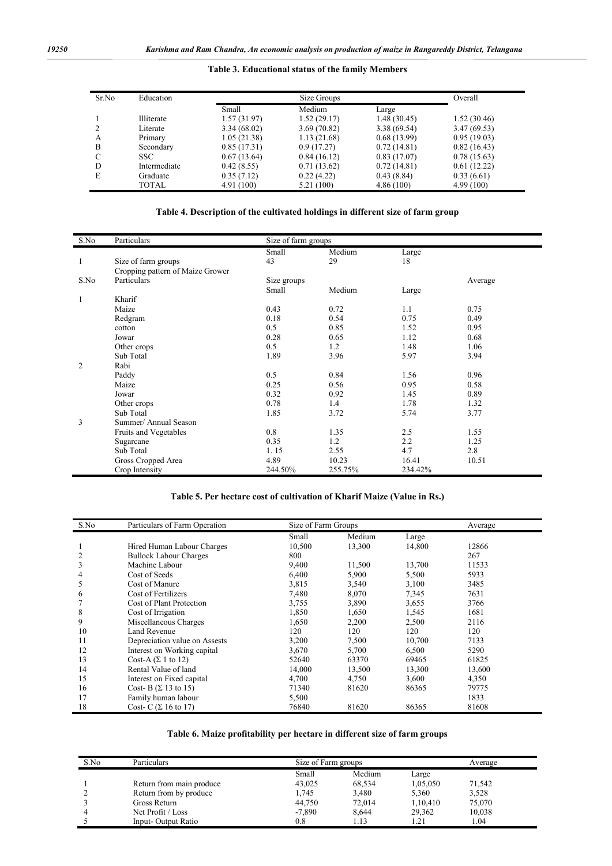| Table 3. Educational status of the family Members |  |  |
|---------------------------------------------------|--|--|
|                                                   |  |  |

| Sr.No<br>Education |              |             | Size Groups |             |             |  |  |
|--------------------|--------------|-------------|-------------|-------------|-------------|--|--|
|                    |              | Small       | Medium      | Large       |             |  |  |
|                    | Illiterate   | 1.57(31.97) | 1.52(29.17) | 1.48(30.45) | 1.52(30.46) |  |  |
|                    | Literate     | 3.34(68.02) | 3.69(70.82) | 3.38(69.54) | 3.47(69.53) |  |  |
| A                  | Primary      | 1.05(21.38) | 1.13(21.68) | 0.68(13.99) | 0.95(19.03) |  |  |
| B                  | Secondary    | 0.85(17.31) | 0.9(17.27)  | 0.72(14.81) | 0.82(16.43) |  |  |
| C                  | SSC.         | 0.67(13.64) | 0.84(16.12) | 0.83(17.07) | 0.78(15.63) |  |  |
| D                  | Intermediate | 0.42(8.55)  | 0.71(13.62) | 0.72(14.81) | 0.61(12.22) |  |  |
| E                  | Graduate     | 0.35(7.12)  | 0.22(4.22)  | 0.43(8.84)  | 0.33(6.61)  |  |  |
|                    | TOTAL        | 4.91(100)   | 5.21 (100)  | 4.86(100)   | 4.99(100)   |  |  |

### **Table 4. Description of the cultivated holdings in different size of farm group**

| S.No | Particulars                      | Size of farm groups |         |         |         |
|------|----------------------------------|---------------------|---------|---------|---------|
|      |                                  | Small               | Medium  | Large   |         |
| 1    | Size of farm groups              | 43                  | 29      | 18      |         |
|      | Cropping pattern of Maize Grower |                     |         |         |         |
| S.No | Particulars                      | Size groups         |         |         | Average |
|      |                                  | Small               | Medium  | Large   |         |
| 1    | Kharif                           |                     |         |         |         |
|      | Maize                            | 0.43                | 0.72    | 1.1     | 0.75    |
|      | Redgram                          | 0.18                | 0.54    | 0.75    | 0.49    |
|      | cotton                           | 0.5                 | 0.85    | 1.52    | 0.95    |
|      | Jowar                            | 0.28                | 0.65    | 1.12    | 0.68    |
|      | Other crops                      | 0.5                 | 1.2     | 1.48    | 1.06    |
|      | Sub Total                        | 1.89                | 3.96    | 5.97    | 3.94    |
| 2    | Rabi                             |                     |         |         |         |
|      | Paddy                            | 0.5                 | 0.84    | 1.56    | 0.96    |
|      | Maize                            | 0.25                | 0.56    | 0.95    | 0.58    |
|      | Jowar                            | 0.32                | 0.92    | 1.45    | 0.89    |
|      | Other crops                      | 0.78                | 1.4     | 1.78    | 1.32    |
|      | Sub Total                        | 1.85                | 3.72    | 5.74    | 3.77    |
| 3    | Summer/ Annual Season            |                     |         |         |         |
|      | Fruits and Vegetables            | 0.8                 | 1.35    | 2.5     | 1.55    |
|      | Sugarcane                        | 0.35                | 1.2     | 2.2     | 1.25    |
|      | Sub Total                        | 1.15                | 2.55    | 4.7     | 2.8     |
|      | Gross Cropped Area               | 4.89                | 10.23   | 16.41   | 10.51   |
|      | Crop Intensity                   | 244.50%             | 255.75% | 234.42% |         |

#### **Table 5. Per hectare cost of cultivation of Kharif Maize (Value in Rs.)**

| S.No | Particulars of Farm Operation |        | Size of Farm Groups |        |        |  |
|------|-------------------------------|--------|---------------------|--------|--------|--|
|      |                               | Small  | Medium              | Large  |        |  |
|      | Hired Human Labour Charges    | 10,500 | 13,300              | 14,800 | 12866  |  |
|      | <b>Bullock Labour Charges</b> | 800    |                     |        | 267    |  |
| 3    | Machine Labour                | 9,400  | 11,500              | 13,700 | 11533  |  |
| 4    | Cost of Seeds                 | 6,400  | 5,900               | 5,500  | 5933   |  |
| ć    | Cost of Manure                | 3,815  | 3,540               | 3,100  | 3485   |  |
| 6    | Cost of Fertilizers           | 7,480  | 8,070               | 7,345  | 7631   |  |
|      | Cost of Plant Protection      | 3,755  | 3,890               | 3,655  | 3766   |  |
| 8    | Cost of Irrigation            | 1,850  | 1,650               | 1,545  | 1681   |  |
| 9    | Miscellaneous Charges         | 1,650  | 2,200               | 2,500  | 2116   |  |
| 10   | Land Revenue                  | 120    | 120                 | 120    | 120    |  |
| 11   | Depreciation value on Assests | 3,200  | 7,500               | 10,700 | 7133   |  |
| 12   | Interest on Working capital   | 3,670  | 5,700               | 6,500  | 5290   |  |
| 13   | Cost-A $(\Sigma$ 1 to 12)     | 52640  | 63370               | 69465  | 61825  |  |
| 14   | Rental Value of land          | 14,000 | 13,500              | 13,300 | 13,600 |  |
| 15   | Interest on Fixed capital     | 4,700  | 4,750               | 3,600  | 4,350  |  |
| 16   | Cost-B $(\Sigma$ 13 to 15)    | 71340  | 81620               | 86365  | 79775  |  |
| 17   | Family human labour           | 5,500  |                     |        | 1833   |  |
| 18   | Cost- C $(\Sigma 16$ to 17)   | 76840  | 81620               | 86365  | 81608  |  |

### **Table 6. Maize profitability per hectare in different size of farm groups**

| S.No | Particulars              |          | Size of Farm groups |          |        |  |
|------|--------------------------|----------|---------------------|----------|--------|--|
|      |                          | Small    | Medium              | Large    |        |  |
|      | Return from main produce | 43,025   | 68,534              | 1,05,050 | 71,542 |  |
|      | Return from by produce   | 1,745    | 3,480               | 5,360    | 3,528  |  |
|      | Gross Return             | 44,750   | 72,014              | 1,10,410 | 75,070 |  |
|      | Net Profit / Loss        | $-7.890$ | 8.644               | 29,362   | 10,038 |  |
|      | Input-Output Ratio       | 0.8      | 1.13                | .21      | .04    |  |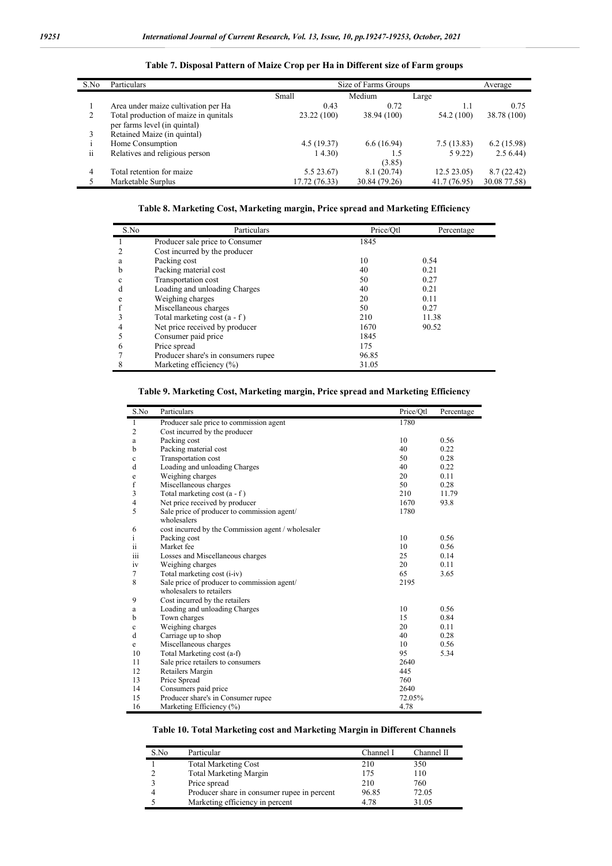| S.No | Particulars                                                           |               | Size of Farms Groups |              | Average      |
|------|-----------------------------------------------------------------------|---------------|----------------------|--------------|--------------|
|      |                                                                       | Small         | Medium               | Large        |              |
|      | Area under maize cultivation per Ha                                   | 0.43          | 0.72                 | 1.1          | 0.75         |
| 2    | Total production of maize in qunitals<br>per farms level (in quintal) | 23.22 (100)   | 38.94 (100)          | 54.2 (100)   | 38.78 (100)  |
| 3    | Retained Maize (in quintal)                                           |               |                      |              |              |
|      | Home Consumption                                                      | 4.5(19.37)    | 6.6(16.94)           | 7.5(13.83)   | 6.2(15.98)   |
| ii   | Relatives and religious person                                        | 14.30         | 1.5<br>(3.85)        | 59.22        | 2.56.44      |
| 4    | Total retention for maize                                             | 5.5 23.67)    | 8.1(20.74)           | 12.523.05    | 8.7(22.42)   |
|      | Marketable Surplus                                                    | 17.72 (76.33) | 30.84 (79.26)        | 41.7 (76.95) | 30.08 77.58) |

#### **Table 7. Disposal Pattern of Maize Crop per Ha in Different size of Farm groups**

**Table 8. Marketing Cost, Marketing margin, Price spread and Marketing Efficiency**

| S.No | Particulars                         | Price/Otl | Percentage |
|------|-------------------------------------|-----------|------------|
|      | Producer sale price to Consumer     | 1845      |            |
|      | Cost incurred by the producer       |           |            |
| a    | Packing cost                        | 10        | 0.54       |
| b    | Packing material cost               | 40        | 0.21       |
| c    | Transportation cost                 | 50        | 0.27       |
| d    | Loading and unloading Charges       | 40        | 0.21       |
| e    | Weighing charges                    | 20        | 0.11       |
|      | Miscellaneous charges               | 50        | 0.27       |
|      | Total marketing cost $(a - f)$      | 210       | 11.38      |
|      | Net price received by producer      | 1670      | 90.52      |
|      | Consumer paid price                 | 1845      |            |
| 6    | Price spread                        | 175       |            |
|      | Producer share's in consumers rupee | 96.85     |            |
|      | Marketing efficiency $(\%)$         | 31.05     |            |

|  |  |  | Table 9. Marketing Cost, Marketing margin, Price spread and Marketing Efficiency |  |
|--|--|--|----------------------------------------------------------------------------------|--|
|  |  |  |                                                                                  |  |

| S.No           | Particulars                                        | Price/Otl | Percentage |
|----------------|----------------------------------------------------|-----------|------------|
| 1              | Producer sale price to commission agent            | 1780      |            |
| $\overline{c}$ | Cost incurred by the producer                      |           |            |
| a              | Packing cost                                       | 10        | 0.56       |
| b              | Packing material cost                              | 40        | 0.22       |
| $\mathbf c$    | Transportation cost                                | 50        | 0.28       |
| d              | Loading and unloading Charges                      | 40        | 0.22       |
| e              | Weighing charges                                   | 20        | 0.11       |
| f              | Miscellaneous charges                              | 50        | 0.28       |
| 3              | Total marketing cost (a - f)                       | 210       | 11.79      |
| $\overline{4}$ | Net price received by producer                     | 1670      | 93.8       |
| 5              | Sale price of producer to commission agent/        | 1780      |            |
|                | wholesalers                                        |           |            |
| 6              | cost incurred by the Commission agent / wholesaler |           |            |
| i              | Packing cost                                       | 10        | 0.56       |
| ii             | Market fee                                         | 10        | 0.56       |
| 111            | Losses and Miscellaneous charges                   | 25        | 0.14       |
| iv             | Weighing charges                                   | 20        | 0.11       |
| 7              | Total marketing cost (i-iv)                        | 65        | 3.65       |
| 8              | Sale price of producer to commission agent/        | 2195      |            |
|                | wholesalers to retailers                           |           |            |
| 9              | Cost incurred by the retailers                     |           |            |
| a              | Loading and unloading Charges                      | 10        | 0.56       |
| b              | Town charges                                       | 15        | 0.84       |
| $\mathbf c$    | Weighing charges                                   | 20        | 0.11       |
| d              | Carriage up to shop                                | 40        | 0.28       |
| e              | Miscellaneous charges                              | 10        | 0.56       |
| 10             | Total Marketing cost (a-f)                         | 95        | 5.34       |
| 11             | Sale price retailers to consumers                  | 2640      |            |
| 12             | Retailers Margin                                   | 445       |            |
| 13             | Price Spread                                       | 760       |            |
| 14             | Consumers paid price                               | 2640      |            |
| 15             | Producer share's in Consumer rupee                 | 72.05%    |            |
| 16             | Marketing Efficiency (%)                           | 4.78      |            |

#### **Table 10. Total Marketing cost and Marketing Margin in Different Channels**

| S.No | Particular                                  | Channel I | Channel II |
|------|---------------------------------------------|-----------|------------|
|      | <b>Total Marketing Cost</b>                 | 210       | 350        |
|      | <b>Total Marketing Margin</b>               | 175       | 110        |
|      | Price spread                                | 210       | 760        |
|      | Producer share in consumer rupee in percent | 96.85     | 72.05      |
|      | Marketing efficiency in percent             | 4.78      | 31.05      |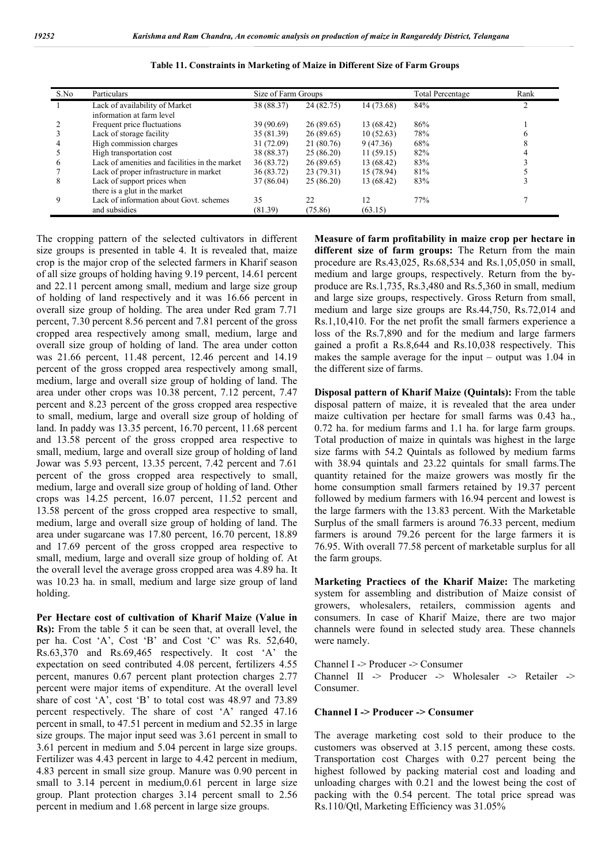| S.No | Particulars                                    | Size of Farm Groups |            |            | Total Percentage | Rank |
|------|------------------------------------------------|---------------------|------------|------------|------------------|------|
|      | Lack of availability of Market                 | 38 (88.37)          | 24 (82.75) | 14 (73.68) | 84%              | ↑    |
|      | information at farm level                      |                     |            |            |                  |      |
|      | Frequent price fluctuations                    | 39 (90.69)          | 26(89.65)  | 13 (68.42) | 86%              |      |
| 3    | Lack of storage facility                       | 35 (81.39)          | 26(89.65)  | 10(52.63)  | 78%              |      |
| 4    | High commission charges                        | 31 (72.09)          | 21 (80.76) | 9(47.36)   | 68%              |      |
|      | High transportation cost                       | 38 (88.37)          | 25(86.20)  | 11(59.15)  | 82%              |      |
| 6    | Lack of amenities and facilities in the market | 36 (83.72)          | 26(89.65)  | 13 (68.42) | 83%              |      |
|      | Lack of proper infrastructure in market        | 36 (83.72)          | 23(79.31)  | 15 (78.94) | 81%              |      |
| 8    | Lack of support prices when                    | 37 (86.04)          | 25(86.20)  | 13 (68.42) | 83%              |      |
|      | there is a glut in the market                  |                     |            |            |                  |      |
| 9    | Lack of information about Govt, schemes        | 35                  | 22         | 12         | 77%              |      |
|      | and subsidies                                  | (81.39)             | (75.86)    | (63.15)    |                  |      |

**Table 11. Constraints in Marketing of Maize in Different Size of Farm Groups**

The cropping pattern of the selected cultivators in different size groups is presented in table 4. It is revealed that, maize crop is the major crop of the selected farmers in Kharif season of all size groups of holding having 9.19 percent, 14.61 percent and 22.11 percent among small, medium and large size group of holding of land respectively and it was 16.66 percent in overall size group of holding. The area under Red gram 7.71 percent, 7.30 percent 8.56 percent and 7.81 percent of the gross cropped area respectively among small, medium, large and overall size group of holding of land. The area under cotton was 21.66 percent, 11.48 percent, 12.46 percent and 14.19 percent of the gross cropped area respectively among small, medium, large and overall size group of holding of land. The area under other crops was 10.38 percent, 7.12 percent, 7.47 percent and 8.23 percent of the gross cropped area respective to small, medium, large and overall size group of holding of land. In paddy was 13.35 percent, 16.70 percent, 11.68 percent and 13.58 percent of the gross cropped area respective to small, medium, large and overall size group of holding of land Jowar was 5.93 percent, 13.35 percent, 7.42 percent and 7.61 percent of the gross cropped area respectively to small, medium, large and overall size group of holding of land. Other crops was 14.25 percent, 16.07 percent, 11.52 percent and 13.58 percent of the gross cropped area respective to small, medium, large and overall size group of holding of land. The area under sugarcane was 17.80 percent, 16.70 percent, 18.89 and 17.69 percent of the gross cropped area respective to small, medium, large and overall size group of holding of. At the overall level the average gross cropped area was 4.89 ha. It was 10.23 ha. in small, medium and large size group of land holding.

**Per Hectare cost of cultivation of Kharif Maize (Value in Rs):** From the table 5 it can be seen that, at overall level, the per ha. Cost 'A', Cost 'B' and Cost 'C' was Rs. 52,640, Rs.63,370 and Rs.69,465 respectively. It cost 'A' the expectation on seed contributed 4.08 percent, fertilizers 4.55 percent, manures 0.67 percent plant protection charges 2.77 percent were major items of expenditure. At the overall level share of cost 'A', cost 'B' to total cost was 48.97 and 73.89 percent respectively. The share of cost 'A' ranged 47.16 percent in small, to 47.51 percent in medium and 52.35 in large size groups. The major input seed was 3.61 percent in small to 3.61 percent in medium and 5.04 percent in large size groups. Fertilizer was 4.43 percent in large to 4.42 percent in medium, 4.83 percent in small size group. Manure was 0.90 percent in small to 3.14 percent in medium, 0.61 percent in large size group. Plant protection charges 3.14 percent small to 2.56 percent in medium and 1.68 percent in large size groups.

**Measure of farm profitability in maize crop per hectare in different size of farm groups:** The Return from the main procedure are Rs.43,025, Rs.68,534 and Rs.1,05,050 in small, medium and large groups, respectively. Return from the byproduce are Rs.1,735, Rs.3,480 and Rs.5,360 in small, medium and large size groups, respectively. Gross Return from small, medium and large size groups are Rs.44,750, Rs.72,014 and Rs.1,10,410. For the net profit the small farmers experience a loss of the Rs.7,890 and for the medium and large farmers gained a profit a Rs.8,644 and Rs.10,038 respectively. This makes the sample average for the input – output was 1.04 in the different size of farms.

**Disposal pattern of Kharif Maize (Quintals):** From the table disposal pattern of maize, it is revealed that the area under maize cultivation per hectare for small farms was 0.43 ha., 0.72 ha. for medium farms and 1.1 ha. for large farm groups. Total production of maize in quintals was highest in the large size farms with 54.2 Quintals as followed by medium farms with 38.94 quintals and 23.22 quintals for small farms.The quantity retained for the maize growers was mostly fir the home consumption small farmers retained by 19.37 percent followed by medium farmers with 16.94 percent and lowest is the large farmers with the 13.83 percent. With the Marketable Surplus of the small farmers is around 76.33 percent, medium farmers is around 79.26 percent for the large farmers it is 76.95. With overall 77.58 percent of marketable surplus for all the farm groups.

**Marketing Practiecs of the Kharif Maize:** The marketing system for assembling and distribution of Maize consist of growers, wholesalers, retailers, commission agents and consumers. In case of Kharif Maize, there are two major channels were found in selected study area. These channels were namely.

Channel I -> Producer -> Consumer

Channel II -> Producer -> Wholesaler -> Retailer -> Consumer.

#### **Channel I -> Producer -> Consumer**

The average marketing cost sold to their produce to the customers was observed at 3.15 percent, among these costs. Transportation cost Charges with 0.27 percent being the highest followed by packing material cost and loading and unloading charges with 0.21 and the lowest being the cost of packing with the 0.54 percent. The total price spread was Rs.110/Qtl, Marketing Efficiency was 31.05%